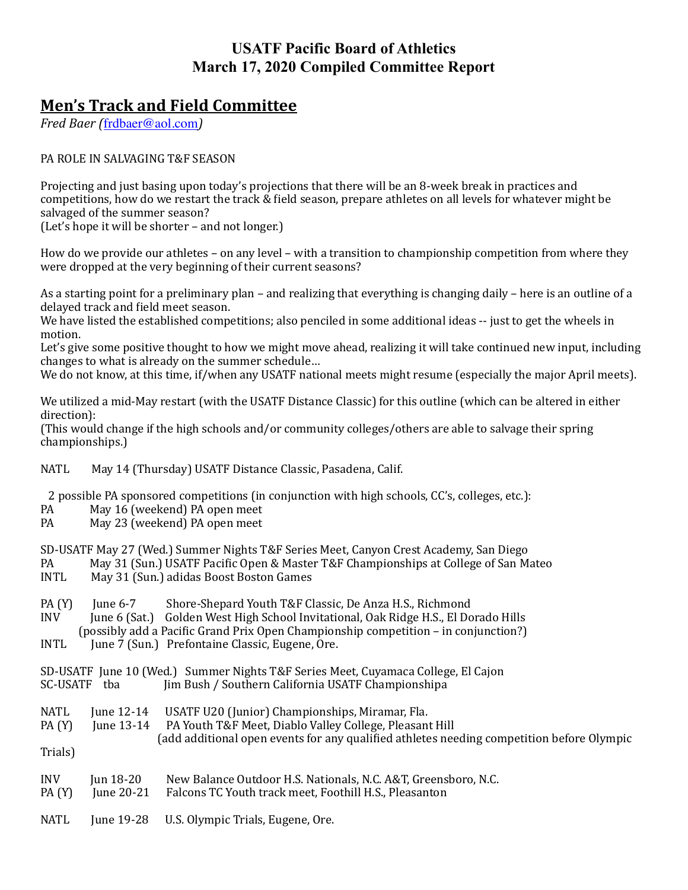## **USATF Pacific Board of Athletics March 17, 2020 Compiled Committee Report**

## **Men's Track and Field Committee**

*Fred Baer* ([frdbaer@aol.com](mailto:fbaer@aol.com))

## PA ROLE IN SALVAGING T&F SEASON

Projecting and just basing upon today's projections that there will be an 8-week break in practices and competitions, how do we restart the track & field season, prepare athletes on all levels for whatever might be salvaged of the summer season?

(Let's hope it will be shorter – and not longer.)

How do we provide our athletes – on any level – with a transition to championship competition from where they were dropped at the very beginning of their current seasons?

As a starting point for a preliminary plan – and realizing that everything is changing daily – here is an outline of a delayed track and field meet season.

We have listed the established competitions; also penciled in some additional ideas -- just to get the wheels in motion. 

Let's give some positive thought to how we might move ahead, realizing it will take continued new input, including changes to what is already on the summer schedule...

We do not know, at this time, if/when any USATF national meets might resume (especially the major April meets).

We utilized a mid-May restart (with the USATF Distance Classic) for this outline (which can be altered in either direction): 

(This would change if the high schools and/or community colleges/others are able to salvage their spring championships.) 

NATL May 14 (Thursday) USATF Distance Classic, Pasadena, Calif.

2 possible PA sponsored competitions (in conjunction with high schools, CC's, colleges, etc.):

- PA May 16 (weekend) PA open meet
- PA May 23 (weekend) PA open meet

SD-USATF May 27 (Wed.) Summer Nights T&F Series Meet, Canyon Crest Academy, San Diego

- PA May 31 (Sun.) USATF Pacific Open & Master T&F Championships at College of San Mateo<br>
INTL May 31 (Sun.) adidas Boost Boston Games
- May 31 (Sun.) adidas Boost Boston Games
- PA (Y) June 6-7 Shore-Shepard Youth T&F Classic, De Anza H.S., Richmond INV June 6 (Sat.) Golden West High School Invitational, Oak Ridge H.S., El Dorado Hills (possibly add a Pacific Grand Prix Open Championship competition – in conjunction?)
- INTL June 7 (Sun.) Prefontaine Classic, Eugene, Ore.

|              |  | SD-USATF June 10 (Wed.) Summer Nights T&F Series Meet, Cuyamaca College, El Cajon |  |  |  |
|--------------|--|-----------------------------------------------------------------------------------|--|--|--|
| SC-USATF tba |  | Jim Bush / Southern California USATF Championshipa                                |  |  |  |

- NATL June 12-14 USATF U20 (Junior) Championships, Miramar, Fla.
- PA (Y) June 13-14 PA Youth T&F Meet, Diablo Valley College, Pleasant Hill (add additional open events for any qualified athletes needing competition before Olympic

Trials) 

| <b>INV</b> | Jun 18-20 | New Balance Outdoor H.S. Nationals, N.C. A&T, Greensboro, N.C. |
|------------|-----------|----------------------------------------------------------------|
|            |           |                                                                |

- PA (Y) June 20-21 Falcons TC Youth track meet, Foothill H.S., Pleasanton
- NATL June 19-28 U.S. Olympic Trials, Eugene, Ore.